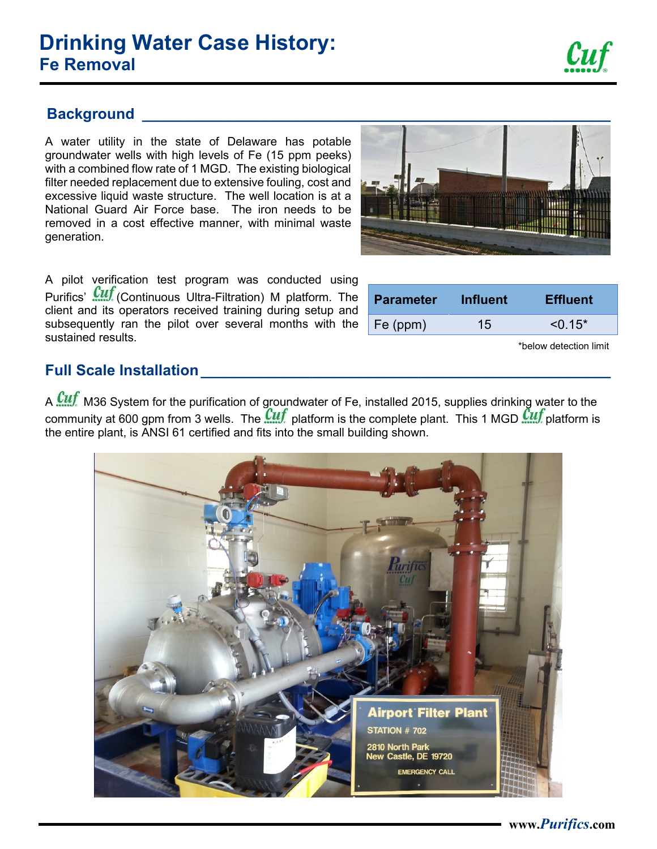## **Drinking Water Case History: Fe Removal**

A water utility in the state of Delaware has potable groundwater wells with high levels of Fe (15 ppm peeks) with a combined flow rate of 1 MGD. The existing biological filter needed replacement due to extensive fouling, cost and excessive liquid waste structure. The well location is at a National Guard Air Force base. The iron needs to be removed in a cost effective manner, with minimal waste generation.

A pilot verification test program was conducted using Purifics' **Will** (Continuous Ultra-Filtration) M platform. The client and its operators received training during setup and subsequently ran the pilot over several months with the sustained results.

A Cuf M36 System for the purification of groundwater of Fe, installed 2015, supplies drinking water to the community at 600 gpm from 3 wells. The  $\frac{Cuf}{T}$  platform is the complete plant. This 1 MGD  $\frac{Cuf}{T}$  platform is the entire plant, is ANSI 61 certified and fits into the small building shown.





| <b>Parameter</b> | <b>Influent</b> | <b>Effluent</b> |
|------------------|-----------------|-----------------|
| Fe (ppm)         | 15.             | $< 0.15*$       |
|                  |                 |                 |

\*below detection limit